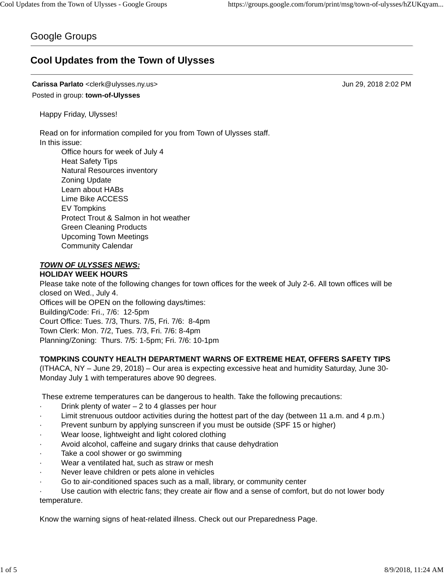## Google Groups

# **Cool Updates from the Town of Ulysses**

## **Carissa Parlato** <clerk@ulysses.ny.us> Jun 29, 2018 2:02 PM Posted in group: **town-of-Ulysses**

Happy Friday, Ulysses!

Read on for information compiled for you from Town of Ulysses staff. In this issue:

Office hours for week of July 4 Heat Safety Tips Natural Resources inventory Zoning Update Learn about HABs Lime Bike ACCESS EV Tompkins Protect Trout & Salmon in hot weather Green Cleaning Products Upcoming Town Meetings Community Calendar

*TOWN OF ULYSSES NEWS:*

## **HOLIDAY WEEK HOURS**

Please take note of the following changes for town offices for the week of July 2-6. All town offices will be closed on Wed., July 4. Offices will be OPEN on the following days/times: Building/Code: Fri., 7/6: 12-5pm

Court Office: Tues. 7/3, Thurs. 7/5, Fri. 7/6: 8-4pm

Town Clerk: Mon. 7/2, Tues. 7/3, Fri. 7/6: 8-4pm

Planning/Zoning: Thurs. 7/5: 1-5pm; Fri. 7/6: 10-1pm

## **TOMPKINS COUNTY HEALTH DEPARTMENT WARNS OF EXTREME HEAT, OFFERS SAFETY TIPS**

(ITHACA, NY – June 29, 2018) – Our area is expecting excessive heat and humidity Saturday, June 30- Monday July 1 with temperatures above 90 degrees.

These extreme temperatures can be dangerous to health. Take the following precautions:

- Drink plenty of water  $-2$  to 4 glasses per hour
- Limit strenuous outdoor activities during the hottest part of the day (between 11 a.m. and 4 p.m.)
- Prevent sunburn by applying sunscreen if you must be outside (SPF 15 or higher)
- Wear loose, lightweight and light colored clothing
- Avoid alcohol, caffeine and sugary drinks that cause dehydration
- Take a cool shower or go swimming
- Wear a ventilated hat, such as straw or mesh
- Never leave children or pets alone in vehicles
- Go to air-conditioned spaces such as a mall, library, or community center
- Use caution with electric fans; they create air flow and a sense of comfort, but do not lower body temperature.

Know the warning signs of heat-related illness. Check out our Preparedness Page.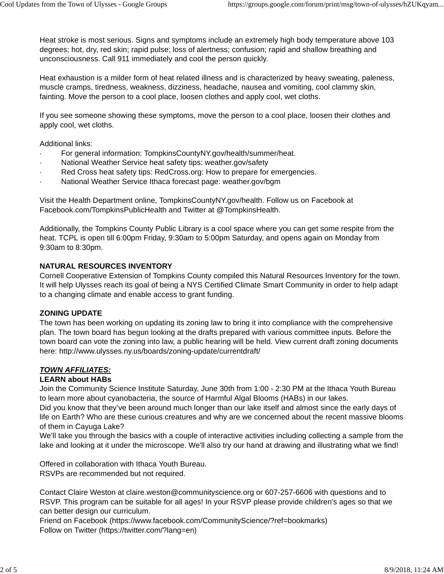Heat stroke is most serious. Signs and symptoms include an extremely high body temperature above 103 degrees; hot, dry, red skin; rapid pulse; loss of alertness; confusion; rapid and shallow breathing and unconsciousness. Call 911 immediately and cool the person quickly.

Heat exhaustion is a milder form of heat related illness and is characterized by heavy sweating, paleness, muscle cramps, tiredness, weakness, dizziness, headache, nausea and vomiting, cool clammy skin, fainting. Move the person to a cool place, loosen clothes and apply cool, wet cloths.

If you see someone showing these symptoms, move the person to a cool place, loosen their clothes and apply cool, wet cloths.

Additional links:

- For general information: TompkinsCountyNY.gov/health/summer/heat.
- National Weather Service heat safety tips: weather.gov/safety
- Red Cross heat safety tips: RedCross.org: How to prepare for emergencies.
- National Weather Service Ithaca forecast page: weather.gov/bgm

Visit the Health Department online, TompkinsCountyNY.gov/health. Follow us on Facebook at Facebook.com/TompkinsPublicHealth and Twitter at @TompkinsHealth.

Additionally, the Tompkins County Public Library is a cool space where you can get some respite from the heat. TCPL is open till 6:00pm Friday, 9:30am to 5:00pm Saturday, and opens again on Monday from 9:30am to 8:30pm.

#### **NATURAL RESOURCES INVENTORY**

Cornell Cooperative Extension of Tompkins County compiled this Natural Resources Inventory for the town. It will help Ulysses reach its goal of being a NYS Certified Climate Smart Community in order to help adapt to a changing climate and enable access to grant funding.

#### **ZONING UPDATE**

The town has been working on updating its zoning law to bring it into compliance with the comprehensive plan. The town board has begun looking at the drafts prepared with various committee inputs. Before the town board can vote the zoning into law, a public hearing will be held. View current draft zoning documents here: http://www.ulysses.ny.us/boards/zoning-update/currentdraft/

#### *TOWN AFFILIATES:*

#### **LEARN about HABs**

Join the Community Science Institute Saturday, June 30th from 1:00 - 2:30 PM at the Ithaca Youth Bureau to learn more about cyanobacteria, the source of Harmful Algal Blooms (HABs) in our lakes.

Did you know that they've been around much longer than our lake itself and almost since the early days of life on Earth? Who are these curious creatures and why are we concerned about the recent massive blooms of them in Cayuga Lake?

We'll take you through the basics with a couple of interactive activities including collecting a sample from the lake and looking at it under the microscope. We'll also try our hand at drawing and illustrating what we find!

Offered in collaboration with Ithaca Youth Bureau.

RSVPs are recommended but not required.

Contact Claire Weston at claire.weston@communityscience.org or 607-257-6606 with questions and to RSVP. This program can be suitable for all ages! In your RSVP please provide children's ages so that we can better design our curriculum.

Friend on Facebook (https://www.facebook.com/CommunityScience/?ref=bookmarks) Follow on Twitter (https://twitter.com/?lang=en)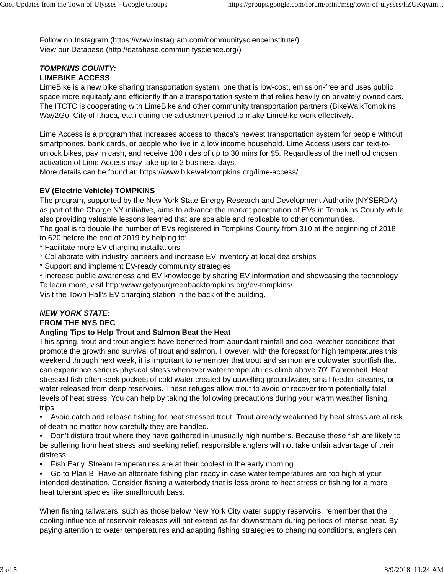Follow on Instagram (https://www.instagram.com/communityscienceinstitute/) View our Database (http://database.communityscience.org/)

#### *TOMPKINS COUNTY:* **LIMEBIKE ACCESS**

LimeBike is a new bike sharing transportation system, one that is low-cost, emission-free and uses public space more equitably and efficiently than a transportation system that relies heavily on privately owned cars. The ITCTC is cooperating with LimeBike and other community transportation partners (BikeWalkTompkins, Way2Go, City of Ithaca, etc.) during the adjustment period to make LimeBike work effectively.

Lime Access is a program that increases access to Ithaca's newest transportation system for people without smartphones, bank cards, or people who live in a low income household. Lime Access users can text-tounlock bikes, pay in cash, and receive 100 rides of up to 30 mins for \$5. Regardless of the method chosen, activation of Lime Access may take up to 2 business days.

More details can be found at: https://www.bikewalktompkins.org/lime-access/

## **EV (Electric Vehicle) TOMPKINS**

The program, supported by the New York State Energy Research and Development Authority (NYSERDA) as part of the Charge NY initiative, aims to advance the market penetration of EVs in Tompkins County while also providing valuable lessons learned that are scalable and replicable to other communities.

The goal is to double the number of EVs registered in Tompkins County from 310 at the beginning of 2018 to 620 before the end of 2019 by helping to:

\* Facilitate more EV charging installations

- \* Collaborate with industry partners and increase EV inventory at local dealerships
- \* Support and implement EV-ready community strategies
- \* Increase public awareness and EV knowledge by sharing EV information and showcasing the technology To learn more, visit http://www.getyourgreenbacktompkins.org/ev-tompkins/.

Visit the Town Hall's EV charging station in the back of the building.

# *NEW YORK STATE:*

## **FROM THE NYS DEC**

## **Angling Tips to Help Trout and Salmon Beat the Heat**

This spring, trout and trout anglers have benefited from abundant rainfall and cool weather conditions that promote the growth and survival of trout and salmon. However, with the forecast for high temperatures this weekend through next week, it is important to remember that trout and salmon are coldwater sportfish that can experience serious physical stress whenever water temperatures climb above 70° Fahrenheit. Heat stressed fish often seek pockets of cold water created by upwelling groundwater, small feeder streams, or water released from deep reservoirs. These refuges allow trout to avoid or recover from potentially fatal levels of heat stress. You can help by taking the following precautions during your warm weather fishing trips.

• Avoid catch and release fishing for heat stressed trout. Trout already weakened by heat stress are at risk of death no matter how carefully they are handled.

• Don't disturb trout where they have gathered in unusually high numbers. Because these fish are likely to be suffering from heat stress and seeking relief, responsible anglers will not take unfair advantage of their distress.

• Fish Early. Stream temperatures are at their coolest in the early morning.

• Go to Plan B! Have an alternate fishing plan ready in case water temperatures are too high at your intended destination. Consider fishing a waterbody that is less prone to heat stress or fishing for a more heat tolerant species like smallmouth bass.

When fishing tailwaters, such as those below New York City water supply reservoirs, remember that the cooling influence of reservoir releases will not extend as far downstream during periods of intense heat. By paying attention to water temperatures and adapting fishing strategies to changing conditions, anglers can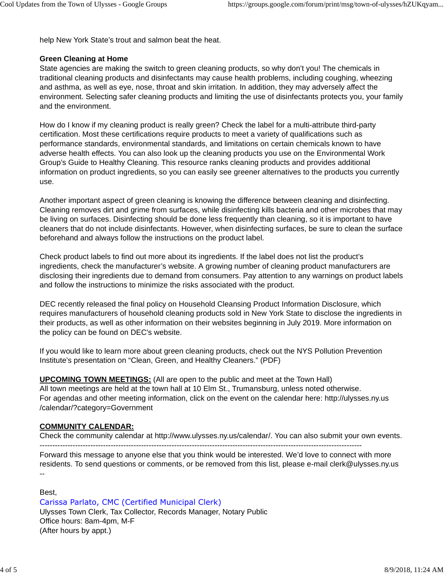help New York State's trout and salmon beat the heat.

### **Green Cleaning at Home**

State agencies are making the switch to green cleaning products, so why don't you! The chemicals in traditional cleaning products and disinfectants may cause health problems, including coughing, wheezing and asthma, as well as eye, nose, throat and skin irritation. In addition, they may adversely affect the environment. Selecting safer cleaning products and limiting the use of disinfectants protects you, your family and the environment.

How do I know if my cleaning product is really green? Check the label for a multi-attribute third-party certification. Most these certifications require products to meet a variety of qualifications such as performance standards, environmental standards, and limitations on certain chemicals known to have adverse health effects. You can also look up the cleaning products you use on the Environmental Work Group's Guide to Healthy Cleaning. This resource ranks cleaning products and provides additional information on product ingredients, so you can easily see greener alternatives to the products you currently use.

Another important aspect of green cleaning is knowing the difference between cleaning and disinfecting. Cleaning removes dirt and grime from surfaces, while disinfecting kills bacteria and other microbes that may be living on surfaces. Disinfecting should be done less frequently than cleaning, so it is important to have cleaners that do not include disinfectants. However, when disinfecting surfaces, be sure to clean the surface beforehand and always follow the instructions on the product label.

Check product labels to find out more about its ingredients. If the label does not list the product's ingredients, check the manufacturer's website. A growing number of cleaning product manufacturers are disclosing their ingredients due to demand from consumers. Pay attention to any warnings on product labels and follow the instructions to minimize the risks associated with the product.

DEC recently released the final policy on Household Cleansing Product Information Disclosure, which requires manufacturers of household cleaning products sold in New York State to disclose the ingredients in their products, as well as other information on their websites beginning in July 2019. More information on the policy can be found on DEC's website.

If you would like to learn more about green cleaning products, check out the NYS Pollution Prevention Institute's presentation on "Clean, Green, and Healthy Cleaners." (PDF)

**UPCOMING TOWN MEETINGS:** (All are open to the public and meet at the Town Hall) All town meetings are held at the town hall at 10 Elm St., Trumansburg, unless noted otherwise. For agendas and other meeting information, click on the event on the calendar here: http://ulysses.ny.us /calendar/?category=Government

## **COMMUNITY CALENDAR:**

Check the community calendar at http://www.ulysses.ny.us/calendar/. You can also submit your own events.

-------------------------------------------------------------------------------------------------------------------------------

Forward this message to anyone else that you think would be interested. We'd love to connect with more residents. To send questions or comments, or be removed from this list, please e-mail clerk@ulysses.ny.us --

Best,

Carissa Parlato, CMC (Certified Municipal Clerk) Ulysses Town Clerk, Tax Collector, Records Manager, Notary Public Office hours: 8am-4pm, M-F (After hours by appt.)